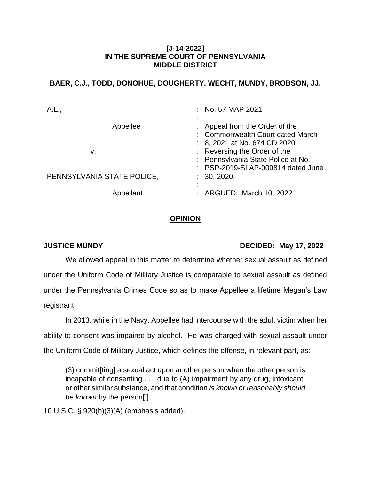### **[J-14-2022] IN THE SUPREME COURT OF PENNSYLVANIA MIDDLE DISTRICT**

# **BAER, C.J., TODD, DONOHUE, DOUGHERTY, WECHT, MUNDY, BROBSON, JJ.**

| A.L.,                      | $:$ No. 57 MAP 2021                     |
|----------------------------|-----------------------------------------|
|                            |                                         |
| Appellee                   | Appeal from the Order of the            |
|                            | : Commonwealth Court dated March        |
|                            | $\therefore$ 8, 2021 at No. 674 CD 2020 |
| v.                         | : Reversing the Order of the            |
|                            | : Pennsylvania State Police at No.      |
|                            | : PSP-2019-SLAP-000814 dated June       |
| PENNSYLVANIA STATE POLICE, | : 30, 2020.                             |
|                            |                                         |
| Appellant                  | : ARGUED: March 10, 2022                |

## **OPINION**

## **JUSTICE MUNDY DECIDED: May 17, 2022**

We allowed appeal in this matter to determine whether sexual assault as defined under the Uniform Code of Military Justice is comparable to sexual assault as defined under the Pennsylvania Crimes Code so as to make Appellee a lifetime Megan's Law registrant.

In 2013, while in the Navy, Appellee had intercourse with the adult victim when her ability to consent was impaired by alcohol. He was charged with sexual assault under the Uniform Code of Military Justice, which defines the offense, in relevant part, as:

(3) commit[ting] a sexual act upon another person when the other person is incapable of consenting . . . due to (A) impairment by any drug, intoxicant, or other similar substance, and that condition *is known or reasonably should be known* by the person[.]

10 U.S.C. § 920(b)(3)(A) (emphasis added).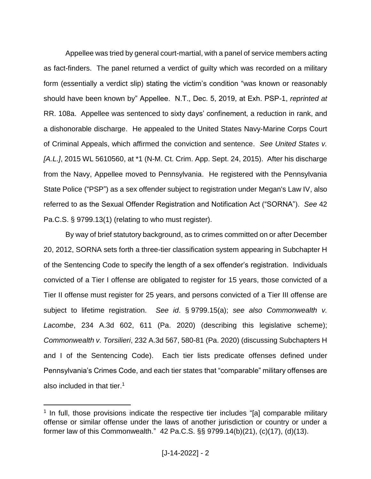Appellee was tried by general court-martial, with a panel of service members acting as fact-finders. The panel returned a verdict of guilty which was recorded on a military form (essentially a verdict slip) stating the victim's condition "was known or reasonably should have been known by" Appellee. N.T., Dec. 5, 2019, at Exh. PSP-1, *reprinted at* RR. 108a. Appellee was sentenced to sixty days' confinement, a reduction in rank, and a dishonorable discharge. He appealed to the United States Navy-Marine Corps Court of Criminal Appeals, which affirmed the conviction and sentence. *See United States v. [A.L.]*, 2015 WL 5610560, at \*1 (N-M. Ct. Crim. App. Sept. 24, 2015). After his discharge from the Navy, Appellee moved to Pennsylvania. He registered with the Pennsylvania State Police ("PSP") as a sex offender subject to registration under Megan's Law IV, also referred to as the Sexual Offender Registration and Notification Act ("SORNA"). *See* 42 Pa.C.S. § 9799.13(1) (relating to who must register).

By way of brief statutory background, as to crimes committed on or after December 20, 2012, SORNA sets forth a three-tier classification system appearing in Subchapter H of the Sentencing Code to specify the length of a sex offender's registration. Individuals convicted of a Tier I offense are obligated to register for 15 years, those convicted of a Tier II offense must register for 25 years, and persons convicted of a Tier III offense are subject to lifetime registration. *See id*. § 9799.15(a); *see also Commonwealth v. Lacombe*, 234 A.3d 602, 611 (Pa. 2020) (describing this legislative scheme); *Commonwealth v. Torsilieri*, 232 A.3d 567, 580-81 (Pa. 2020) (discussing Subchapters H and I of the Sentencing Code). Each tier lists predicate offenses defined under Pennsylvania's Crimes Code, and each tier states that "comparable" military offenses are also included in that tier. 1

<sup>&</sup>lt;sup>1</sup> In full, those provisions indicate the respective tier includes "[a] comparable military offense or similar offense under the laws of another jurisdiction or country or under a former law of this Commonwealth." 42 Pa.C.S. §§ 9799.14(b)(21), (c)(17), (d)(13).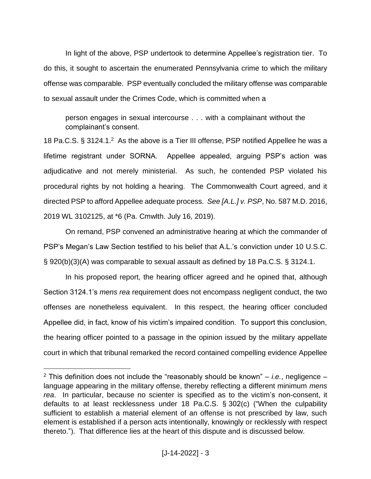In light of the above, PSP undertook to determine Appellee's registration tier. To do this, it sought to ascertain the enumerated Pennsylvania crime to which the military offense was comparable. PSP eventually concluded the military offense was comparable to sexual assault under the Crimes Code, which is committed when a

person engages in sexual intercourse . . . with a complainant without the complainant's consent.

18 Pa.C.S. § 3124.1.<sup>2</sup> As the above is a Tier III offense, PSP notified Appellee he was a lifetime registrant under SORNA. Appellee appealed, arguing PSP's action was adjudicative and not merely ministerial. As such, he contended PSP violated his procedural rights by not holding a hearing. The Commonwealth Court agreed, and it directed PSP to afford Appellee adequate process. *See [A.L.] v. PSP*, No. 587 M.D. 2016, 2019 WL 3102125, at \*6 (Pa. Cmwlth. July 16, 2019).

On remand, PSP convened an administrative hearing at which the commander of PSP's Megan's Law Section testified to his belief that A.L.'s conviction under 10 U.S.C. § 920(b)(3)(A) was comparable to sexual assault as defined by 18 Pa.C.S. § 3124.1.

In his proposed report, the hearing officer agreed and he opined that, although Section 3124.1's *mens rea* requirement does not encompass negligent conduct, the two offenses are nonetheless equivalent. In this respect, the hearing officer concluded Appellee did, in fact, know of his victim's impaired condition. To support this conclusion, the hearing officer pointed to a passage in the opinion issued by the military appellate court in which that tribunal remarked the record contained compelling evidence Appellee

<sup>&</sup>lt;sup>2</sup> This definition does not include the "reasonably should be known" – *i.e.*, negligence – language appearing in the military offense, thereby reflecting a different minimum *mens rea*. In particular, because no scienter is specified as to the victim's non-consent, it defaults to at least recklessness under 18 Pa.C.S. § 302(c) ("When the culpability sufficient to establish a material element of an offense is not prescribed by law, such element is established if a person acts intentionally, knowingly or recklessly with respect thereto."). That difference lies at the heart of this dispute and is discussed below.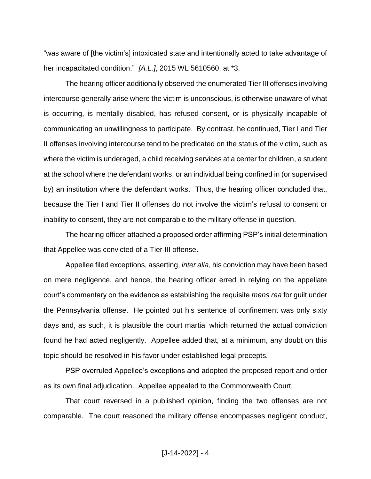"was aware of [the victim's] intoxicated state and intentionally acted to take advantage of her incapacitated condition." *[A.L.]*, 2015 WL 5610560, at \*3.

The hearing officer additionally observed the enumerated Tier III offenses involving intercourse generally arise where the victim is unconscious, is otherwise unaware of what is occurring, is mentally disabled, has refused consent, or is physically incapable of communicating an unwillingness to participate. By contrast, he continued, Tier I and Tier II offenses involving intercourse tend to be predicated on the status of the victim, such as where the victim is underaged, a child receiving services at a center for children, a student at the school where the defendant works, or an individual being confined in (or supervised by) an institution where the defendant works. Thus, the hearing officer concluded that, because the Tier I and Tier II offenses do not involve the victim's refusal to consent or inability to consent, they are not comparable to the military offense in question.

The hearing officer attached a proposed order affirming PSP's initial determination that Appellee was convicted of a Tier III offense.

Appellee filed exceptions, asserting, *inter alia*, his conviction may have been based on mere negligence, and hence, the hearing officer erred in relying on the appellate court's commentary on the evidence as establishing the requisite *mens rea* for guilt under the Pennsylvania offense. He pointed out his sentence of confinement was only sixty days and, as such, it is plausible the court martial which returned the actual conviction found he had acted negligently. Appellee added that, at a minimum, any doubt on this topic should be resolved in his favor under established legal precepts.

PSP overruled Appellee's exceptions and adopted the proposed report and order as its own final adjudication. Appellee appealed to the Commonwealth Court.

That court reversed in a published opinion, finding the two offenses are not comparable. The court reasoned the military offense encompasses negligent conduct,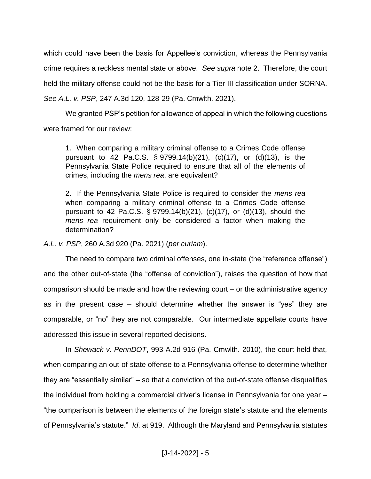which could have been the basis for Appellee's conviction, whereas the Pennsylvania crime requires a reckless mental state or above. *See supra* note 2. Therefore, the court held the military offense could not be the basis for a Tier III classification under SORNA. *See A.L. v. PSP*, 247 A.3d 120, 128-29 (Pa. Cmwlth. 2021).

We granted PSP's petition for allowance of appeal in which the following questions were framed for our review:

1. When comparing a military criminal offense to a Crimes Code offense pursuant to 42 Pa.C.S. § 9799.14(b)(21), (c)(17), or (d)(13), is the Pennsylvania State Police required to ensure that all of the elements of crimes, including the *mens rea*, are equivalent?

2. If the Pennsylvania State Police is required to consider the *mens rea* when comparing a military criminal offense to a Crimes Code offense pursuant to 42 Pa.C.S. § 9799.14(b)(21), (c)(17), or (d)(13), should the *mens rea* requirement only be considered a factor when making the determination?

*A.L. v. PSP*, 260 A.3d 920 (Pa. 2021) (*per curiam*).

The need to compare two criminal offenses, one in-state (the "reference offense") and the other out-of-state (the "offense of conviction"), raises the question of how that comparison should be made and how the reviewing court – or the administrative agency as in the present case – should determine whether the answer is "yes" they are comparable, or "no" they are not comparable. Our intermediate appellate courts have addressed this issue in several reported decisions.

In *Shewack v. PennDOT*, 993 A.2d 916 (Pa. Cmwlth. 2010), the court held that, when comparing an out-of-state offense to a Pennsylvania offense to determine whether they are "essentially similar" – so that a conviction of the out-of-state offense disqualifies the individual from holding a commercial driver's license in Pennsylvania for one year – "the comparison is between the elements of the foreign state's statute and the elements of Pennsylvania's statute." *Id*. at 919. Although the Maryland and Pennsylvania statutes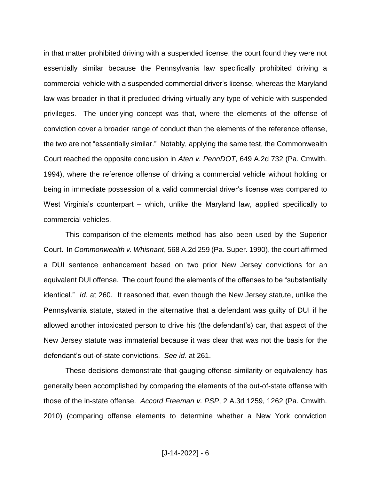in that matter prohibited driving with a suspended license, the court found they were not essentially similar because the Pennsylvania law specifically prohibited driving a commercial vehicle with a suspended commercial driver's license, whereas the Maryland law was broader in that it precluded driving virtually any type of vehicle with suspended privileges. The underlying concept was that, where the elements of the offense of conviction cover a broader range of conduct than the elements of the reference offense, the two are not "essentially similar." Notably, applying the same test, the Commonwealth Court reached the opposite conclusion in *Aten v. PennDOT*, 649 A.2d 732 (Pa. Cmwlth. 1994), where the reference offense of driving a commercial vehicle without holding or being in immediate possession of a valid commercial driver's license was compared to West Virginia's counterpart – which, unlike the Maryland law, applied specifically to commercial vehicles.

This comparison-of-the-elements method has also been used by the Superior Court. In *Commonwealth v. Whisnant*, 568 A.2d 259 (Pa. Super. 1990), the court affirmed a DUI sentence enhancement based on two prior New Jersey convictions for an equivalent DUI offense. The court found the elements of the offenses to be "substantially identical." *Id*. at 260. It reasoned that, even though the New Jersey statute, unlike the Pennsylvania statute, stated in the alternative that a defendant was guilty of DUI if he allowed another intoxicated person to drive his (the defendant's) car, that aspect of the New Jersey statute was immaterial because it was clear that was not the basis for the defendant's out-of-state convictions. *See id*. at 261.

These decisions demonstrate that gauging offense similarity or equivalency has generally been accomplished by comparing the elements of the out-of-state offense with those of the in-state offense. *Accord Freeman v. PSP*, 2 A.3d 1259, 1262 (Pa. Cmwlth. 2010) (comparing offense elements to determine whether a New York conviction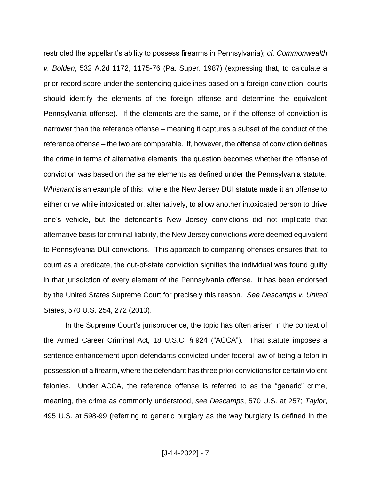restricted the appellant's ability to possess firearms in Pennsylvania); *cf. Commonwealth v. Bolden*, 532 A.2d 1172, 1175-76 (Pa. Super. 1987) (expressing that, to calculate a prior-record score under the sentencing guidelines based on a foreign conviction, courts should identify the elements of the foreign offense and determine the equivalent Pennsylvania offense). If the elements are the same, or if the offense of conviction is narrower than the reference offense – meaning it captures a subset of the conduct of the reference offense – the two are comparable. If, however, the offense of conviction defines the crime in terms of alternative elements, the question becomes whether the offense of conviction was based on the same elements as defined under the Pennsylvania statute. *Whisnant* is an example of this: where the New Jersey DUI statute made it an offense to either drive while intoxicated or, alternatively, to allow another intoxicated person to drive one's vehicle, but the defendant's New Jersey convictions did not implicate that alternative basis for criminal liability, the New Jersey convictions were deemed equivalent to Pennsylvania DUI convictions. This approach to comparing offenses ensures that, to count as a predicate, the out-of-state conviction signifies the individual was found guilty in that jurisdiction of every element of the Pennsylvania offense. It has been endorsed by the United States Supreme Court for precisely this reason. *See Descamps v. United States*, 570 U.S. 254, 272 (2013).

In the Supreme Court's jurisprudence, the topic has often arisen in the context of the Armed Career Criminal Act, 18 U.S.C. § 924 ("ACCA"). That statute imposes a sentence enhancement upon defendants convicted under federal law of being a felon in possession of a firearm, where the defendant has three prior convictions for certain violent felonies. Under ACCA, the reference offense is referred to as the "generic" crime, meaning, the crime as commonly understood, *see Descamps*, 570 U.S. at 257; *Taylor*, 495 U.S. at 598-99 (referring to generic burglary as the way burglary is defined in the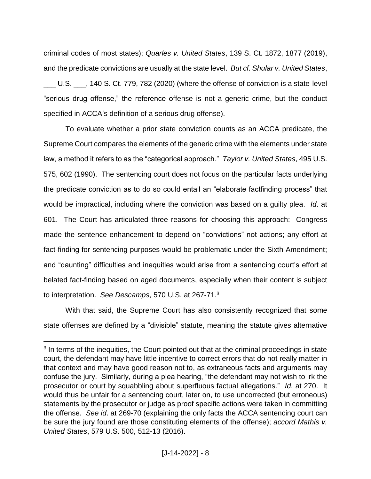criminal codes of most states); *Quarles v. United States*, 139 S. Ct. 1872, 1877 (2019), and the predicate convictions are usually at the state level. *But cf. Shular v. United States*, U.S.  $\ldots$ , 140 S. Ct. 779, 782 (2020) (where the offense of conviction is a state-level "serious drug offense," the reference offense is not a generic crime, but the conduct specified in ACCA's definition of a serious drug offense).

To evaluate whether a prior state conviction counts as an ACCA predicate, the Supreme Court compares the elements of the generic crime with the elements under state law, a method it refers to as the "categorical approach." *Taylor v. United States*, 495 U.S. 575, 602 (1990). The sentencing court does not focus on the particular facts underlying the predicate conviction as to do so could entail an "elaborate factfinding process" that would be impractical, including where the conviction was based on a guilty plea. *Id*. at 601. The Court has articulated three reasons for choosing this approach: Congress made the sentence enhancement to depend on "convictions" not actions; any effort at fact-finding for sentencing purposes would be problematic under the Sixth Amendment; and "daunting" difficulties and inequities would arise from a sentencing court's effort at belated fact-finding based on aged documents, especially when their content is subject to interpretation. *See Descamps*, 570 U.S. at 267-71. 3

With that said, the Supreme Court has also consistently recognized that some state offenses are defined by a "divisible" statute, meaning the statute gives alternative

<sup>&</sup>lt;sup>3</sup> In terms of the inequities, the Court pointed out that at the criminal proceedings in state court, the defendant may have little incentive to correct errors that do not really matter in that context and may have good reason not to, as extraneous facts and arguments may confuse the jury. Similarly, during a plea hearing, "the defendant may not wish to irk the prosecutor or court by squabbling about superfluous factual allegations." *Id*. at 270. It would thus be unfair for a sentencing court, later on, to use uncorrected (but erroneous) statements by the prosecutor or judge as proof specific actions were taken in committing the offense. *See id*. at 269-70 (explaining the only facts the ACCA sentencing court can be sure the jury found are those constituting elements of the offense); *accord Mathis v. United States*, 579 U.S. 500, 512-13 (2016).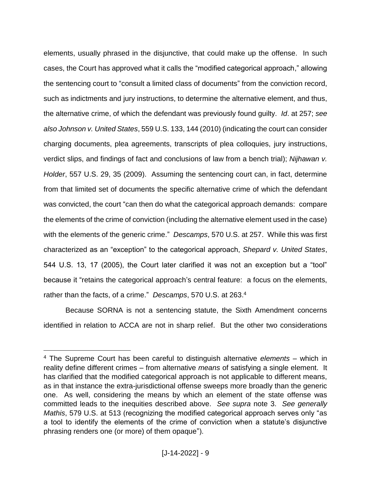elements, usually phrased in the disjunctive, that could make up the offense. In such cases, the Court has approved what it calls the "modified categorical approach," allowing the sentencing court to "consult a limited class of documents" from the conviction record, such as indictments and jury instructions, to determine the alternative element, and thus, the alternative crime, of which the defendant was previously found guilty. *Id*. at 257; *see also Johnson v. United States*, 559 U.S. 133, 144 (2010) (indicating the court can consider charging documents, plea agreements, transcripts of plea colloquies, jury instructions, verdict slips, and findings of fact and conclusions of law from a bench trial); *Nijhawan v. Holder*, 557 U.S. 29, 35 (2009). Assuming the sentencing court can, in fact, determine from that limited set of documents the specific alternative crime of which the defendant was convicted, the court "can then do what the categorical approach demands: compare the elements of the crime of conviction (including the alternative element used in the case) with the elements of the generic crime." *Descamps*, 570 U.S. at 257. While this was first characterized as an "exception" to the categorical approach, *Shepard v. United States*, 544 U.S. 13, 17 (2005), the Court later clarified it was not an exception but a "tool" because it "retains the categorical approach's central feature: a focus on the elements, rather than the facts, of a crime." *Descamps*, 570 U.S. at 263. 4

Because SORNA is not a sentencing statute, the Sixth Amendment concerns identified in relation to ACCA are not in sharp relief. But the other two considerations

<sup>4</sup> The Supreme Court has been careful to distinguish alternative *elements* – which in reality define different crimes – from alternative *means* of satisfying a single element. It has clarified that the modified categorical approach is not applicable to different means, as in that instance the extra-jurisdictional offense sweeps more broadly than the generic one. As well, considering the means by which an element of the state offense was committed leads to the inequities described above. *See supra* note 3. *See generally Mathis*, 579 U.S. at 513 (recognizing the modified categorical approach serves only "as a tool to identify the elements of the crime of conviction when a statute's disjunctive phrasing renders one (or more) of them opaque").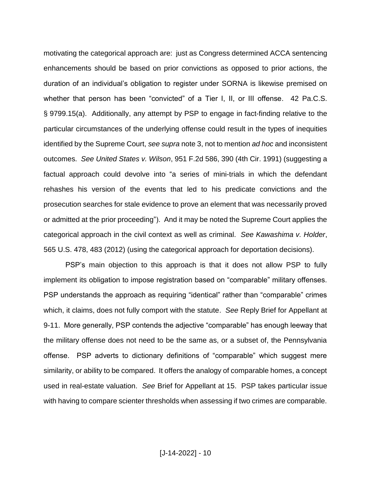motivating the categorical approach are: just as Congress determined ACCA sentencing enhancements should be based on prior convictions as opposed to prior actions, the duration of an individual's obligation to register under SORNA is likewise premised on whether that person has been "convicted" of a Tier I, II, or III offense. 42 Pa.C.S. § 9799.15(a). Additionally, any attempt by PSP to engage in fact-finding relative to the particular circumstances of the underlying offense could result in the types of inequities identified by the Supreme Court, *see supra* note 3, not to mention *ad hoc* and inconsistent outcomes. *See United States v. Wilson*, 951 F.2d 586, 390 (4th Cir. 1991) (suggesting a factual approach could devolve into "a series of mini-trials in which the defendant rehashes his version of the events that led to his predicate convictions and the prosecution searches for stale evidence to prove an element that was necessarily proved or admitted at the prior proceeding"). And it may be noted the Supreme Court applies the categorical approach in the civil context as well as criminal. *See Kawashima v. Holder*, 565 U.S. 478, 483 (2012) (using the categorical approach for deportation decisions).

PSP's main objection to this approach is that it does not allow PSP to fully implement its obligation to impose registration based on "comparable" military offenses. PSP understands the approach as requiring "identical" rather than "comparable" crimes which, it claims, does not fully comport with the statute. *See* Reply Brief for Appellant at 9-11. More generally, PSP contends the adjective "comparable" has enough leeway that the military offense does not need to be the same as, or a subset of, the Pennsylvania offense. PSP adverts to dictionary definitions of "comparable" which suggest mere similarity, or ability to be compared. It offers the analogy of comparable homes, a concept used in real-estate valuation. *See* Brief for Appellant at 15. PSP takes particular issue with having to compare scienter thresholds when assessing if two crimes are comparable.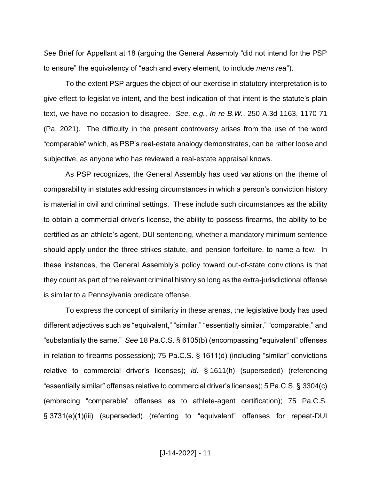*See* Brief for Appellant at 18 (arguing the General Assembly "did not intend for the PSP to ensure" the equivalency of "each and every element, to include *mens rea*").

To the extent PSP argues the object of our exercise in statutory interpretation is to give effect to legislative intent, and the best indication of that intent is the statute's plain text, we have no occasion to disagree. *See, e.g.*, *In re B.W.*, 250 A.3d 1163, 1170-71 (Pa. 2021). The difficulty in the present controversy arises from the use of the word "comparable" which, as PSP's real-estate analogy demonstrates, can be rather loose and subjective, as anyone who has reviewed a real-estate appraisal knows.

As PSP recognizes, the General Assembly has used variations on the theme of comparability in statutes addressing circumstances in which a person's conviction history is material in civil and criminal settings. These include such circumstances as the ability to obtain a commercial driver's license, the ability to possess firearms, the ability to be certified as an athlete's agent, DUI sentencing, whether a mandatory minimum sentence should apply under the three-strikes statute, and pension forfeiture, to name a few. In these instances, the General Assembly's policy toward out-of-state convictions is that they count as part of the relevant criminal history so long as the extra-jurisdictional offense is similar to a Pennsylvania predicate offense.

To express the concept of similarity in these arenas, the legislative body has used different adjectives such as "equivalent," "similar," "essentially similar," "comparable," and "substantially the same." *See* 18 Pa.C.S. § 6105(b) (encompassing "equivalent" offenses in relation to firearms possession); 75 Pa.C.S. § 1611(d) (including "similar" convictions relative to commercial driver's licenses); *id*. § 1611(h) (superseded) (referencing "essentially similar" offenses relative to commercial driver's licenses); 5 Pa.C.S. § 3304(c) (embracing "comparable" offenses as to athlete-agent certification); 75 Pa.C.S. § 3731(e)(1)(iii) (superseded) (referring to "equivalent" offenses for repeat-DUI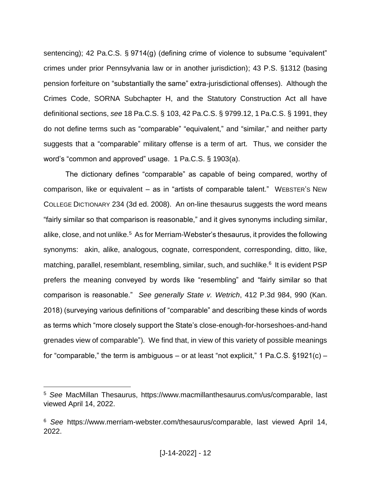sentencing); 42 Pa.C.S. § 9714(g) (defining crime of violence to subsume "equivalent" crimes under prior Pennsylvania law or in another jurisdiction); 43 P.S. §1312 (basing pension forfeiture on "substantially the same" extra-jurisdictional offenses). Although the Crimes Code, SORNA Subchapter H, and the Statutory Construction Act all have definitional sections, *see* 18 Pa.C.S. § 103, 42 Pa.C.S. § 9799.12, 1 Pa.C.S. § 1991, they do not define terms such as "comparable" "equivalent," and "similar," and neither party suggests that a "comparable" military offense is a term of art. Thus, we consider the word's "common and approved" usage. 1 Pa.C.S. § 1903(a).

The dictionary defines "comparable" as capable of being compared, worthy of comparison, like or equivalent – as in "artists of comparable talent." WEBSTER'S NEW COLLEGE DICTIONARY 234 (3d ed. 2008). An on-line thesaurus suggests the word means "fairly similar so that comparison is reasonable," and it gives synonyms including similar, alike, close, and not unlike.<sup>5</sup> As for Merriam-Webster's thesaurus, it provides the following synonyms: akin, alike, analogous, cognate, correspondent, corresponding, ditto, like, matching, parallel, resemblant, resembling, similar, such, and suchlike.<sup>6</sup> It is evident PSP prefers the meaning conveyed by words like "resembling" and "fairly similar so that comparison is reasonable." *See generally State v. Wetrich*, 412 P.3d 984, 990 (Kan. 2018) (surveying various definitions of "comparable" and describing these kinds of words as terms which "more closely support the State's close-enough-for-horseshoes-and-hand grenades view of comparable"). We find that, in view of this variety of possible meanings for "comparable," the term is ambiguous – or at least "not explicit," 1 Pa.C.S.  $\S 1921(c)$  –

<sup>5</sup> *See* MacMillan Thesaurus, https://www.macmillanthesaurus.com/us/comparable, last viewed April 14, 2022.

<sup>6</sup> *See* https://www.merriam-webster.com/thesaurus/comparable, last viewed April 14, 2022.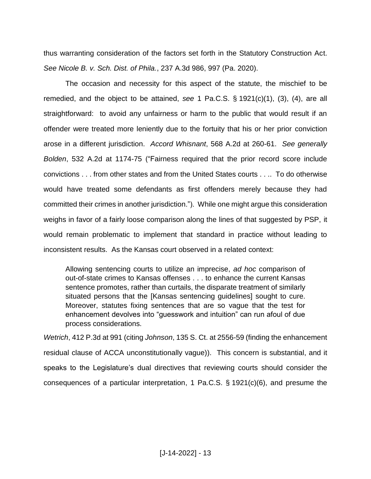thus warranting consideration of the factors set forth in the Statutory Construction Act. *See Nicole B. v. Sch. Dist. of Phila.*, 237 A.3d 986, 997 (Pa. 2020).

The occasion and necessity for this aspect of the statute, the mischief to be remedied, and the object to be attained, *see* 1 Pa.C.S. § 1921(c)(1), (3), (4), are all straightforward: to avoid any unfairness or harm to the public that would result if an offender were treated more leniently due to the fortuity that his or her prior conviction arose in a different jurisdiction. *Accord Whisnant*, 568 A.2d at 260-61. *See generally Bolden*, 532 A.2d at 1174-75 ("Fairness required that the prior record score include convictions . . . from other states and from the United States courts . . .. To do otherwise would have treated some defendants as first offenders merely because they had committed their crimes in another jurisdiction."). While one might argue this consideration weighs in favor of a fairly loose comparison along the lines of that suggested by PSP, it would remain problematic to implement that standard in practice without leading to inconsistent results. As the Kansas court observed in a related context:

Allowing sentencing courts to utilize an imprecise, *ad hoc* comparison of out-of-state crimes to Kansas offenses . . . to enhance the current Kansas sentence promotes, rather than curtails, the disparate treatment of similarly situated persons that the [Kansas sentencing guidelines] sought to cure. Moreover, statutes fixing sentences that are so vague that the test for enhancement devolves into "guesswork and intuition" can run afoul of due process considerations.

*Wetrich*, 412 P.3d at 991 (citing *Johnson*, 135 S. Ct. at 2556-59 (finding the enhancement residual clause of ACCA unconstitutionally vague)). This concern is substantial, and it speaks to the Legislature's dual directives that reviewing courts should consider the consequences of a particular interpretation, 1 Pa.C.S. § 1921(c)(6), and presume the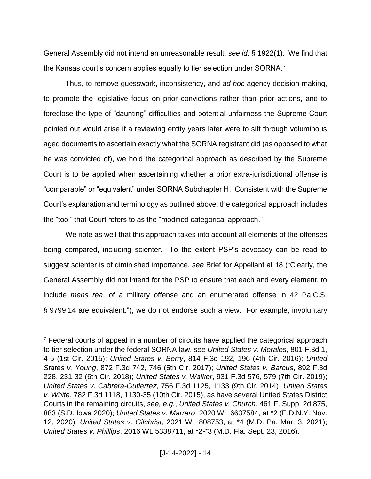General Assembly did not intend an unreasonable result, *see id*. § 1922(1). We find that the Kansas court's concern applies equally to tier selection under SORNA. $^7$ 

Thus, to remove guesswork, inconsistency, and *ad hoc* agency decision-making, to promote the legislative focus on prior convictions rather than prior actions, and to foreclose the type of "daunting" difficulties and potential unfairness the Supreme Court pointed out would arise if a reviewing entity years later were to sift through voluminous aged documents to ascertain exactly what the SORNA registrant did (as opposed to what he was convicted of), we hold the categorical approach as described by the Supreme Court is to be applied when ascertaining whether a prior extra-jurisdictional offense is "comparable" or "equivalent" under SORNA Subchapter H. Consistent with the Supreme Court's explanation and terminology as outlined above, the categorical approach includes the "tool" that Court refers to as the "modified categorical approach."

We note as well that this approach takes into account all elements of the offenses being compared, including scienter. To the extent PSP's advocacy can be read to suggest scienter is of diminished importance, *see* Brief for Appellant at 18 ("Clearly, the General Assembly did not intend for the PSP to ensure that each and every element, to include *mens rea*, of a military offense and an enumerated offense in 42 Pa.C.S. § 9799.14 are equivalent."), we do not endorse such a view. For example, involuntary

 $7$  Federal courts of appeal in a number of circuits have applied the categorical approach to tier selection under the federal SORNA law, *see United States v. Morales*, 801 F.3d 1, 4-5 (1st Cir. 2015); *United States v. Berry*, 814 F.3d 192, 196 (4th Cir. 2016); *United States v. Young*, 872 F.3d 742, 746 (5th Cir. 2017); *United States v. Barcus*, 892 F.3d 228, 231-32 (6th Cir. 2018); *United States v. Walker*, 931 F.3d 576, 579 (7th Cir. 2019); *United States v. Cabrera-Gutierrez*, 756 F.3d 1125, 1133 (9th Cir. 2014); *United States v. White*, 782 F.3d 1118, 1130-35 (10th Cir. 2015), as have several United States District Courts in the remaining circuits, *see, e.g.*, *United States v. Church*, 461 F. Supp. 2d 875, 883 (S.D. Iowa 2020); *United States v. Marrero*, 2020 WL 6637584, at \*2 (E.D.N.Y. Nov. 12, 2020); *United States v. Gilchrist*, 2021 WL 808753, at \*4 (M.D. Pa. Mar. 3, 2021); *United States v. Phillips*, 2016 WL 5338711, at \*2-\*3 (M.D. Fla. Sept. 23, 2016).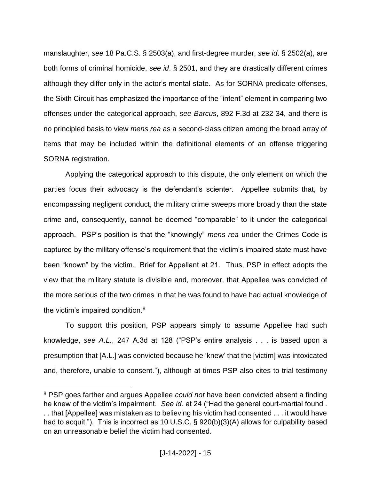manslaughter, *see* 18 Pa.C.S. § 2503(a), and first-degree murder, *see id*. § 2502(a), are both forms of criminal homicide, *see id*. § 2501, and they are drastically different crimes although they differ only in the actor's mental state. As for SORNA predicate offenses, the Sixth Circuit has emphasized the importance of the "intent" element in comparing two offenses under the categorical approach, *see Barcus*, 892 F.3d at 232-34, and there is no principled basis to view *mens rea* as a second-class citizen among the broad array of items that may be included within the definitional elements of an offense triggering SORNA registration.

Applying the categorical approach to this dispute, the only element on which the parties focus their advocacy is the defendant's scienter. Appellee submits that, by encompassing negligent conduct, the military crime sweeps more broadly than the state crime and, consequently, cannot be deemed "comparable" to it under the categorical approach. PSP's position is that the "knowingly" *mens rea* under the Crimes Code is captured by the military offense's requirement that the victim's impaired state must have been "known" by the victim. Brief for Appellant at 21. Thus, PSP in effect adopts the view that the military statute is divisible and, moreover, that Appellee was convicted of the more serious of the two crimes in that he was found to have had actual knowledge of the victim's impaired condition.<sup>8</sup>

To support this position, PSP appears simply to assume Appellee had such knowledge, *see A.L.*, 247 A.3d at 128 ("PSP's entire analysis . . . is based upon a presumption that [A.L.] was convicted because he 'knew' that the [victim] was intoxicated and, therefore, unable to consent."), although at times PSP also cites to trial testimony

<sup>8</sup> PSP goes farther and argues Appellee *could not* have been convicted absent a finding he knew of the victim's impairment. *See id*. at 24 ("Had the general court-martial found . . . that [Appellee] was mistaken as to believing his victim had consented . . . it would have had to acquit."). This is incorrect as 10 U.S.C. § 920(b)(3)(A) allows for culpability based on an unreasonable belief the victim had consented.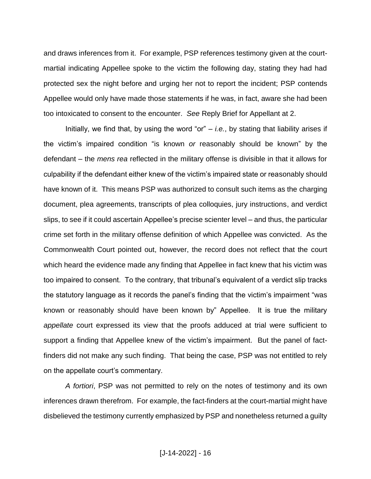and draws inferences from it. For example, PSP references testimony given at the courtmartial indicating Appellee spoke to the victim the following day, stating they had had protected sex the night before and urging her not to report the incident; PSP contends Appellee would only have made those statements if he was, in fact, aware she had been too intoxicated to consent to the encounter. *See* Reply Brief for Appellant at 2.

Initially, we find that, by using the word "or" – *i.e.*, by stating that liability arises if the victim's impaired condition "is known *or* reasonably should be known" by the defendant – the *mens rea* reflected in the military offense is divisible in that it allows for culpability if the defendant either knew of the victim's impaired state or reasonably should have known of it. This means PSP was authorized to consult such items as the charging document, plea agreements, transcripts of plea colloquies, jury instructions, and verdict slips, to see if it could ascertain Appellee's precise scienter level – and thus, the particular crime set forth in the military offense definition of which Appellee was convicted. As the Commonwealth Court pointed out, however, the record does not reflect that the court which heard the evidence made any finding that Appellee in fact knew that his victim was too impaired to consent. To the contrary, that tribunal's equivalent of a verdict slip tracks the statutory language as it records the panel's finding that the victim's impairment "was known or reasonably should have been known by" Appellee. It is true the military *appellate* court expressed its view that the proofs adduced at trial were sufficient to support a finding that Appellee knew of the victim's impairment. But the panel of factfinders did not make any such finding. That being the case, PSP was not entitled to rely on the appellate court's commentary.

*A fortiori*, PSP was not permitted to rely on the notes of testimony and its own inferences drawn therefrom. For example, the fact-finders at the court-martial might have disbelieved the testimony currently emphasized by PSP and nonetheless returned a guilty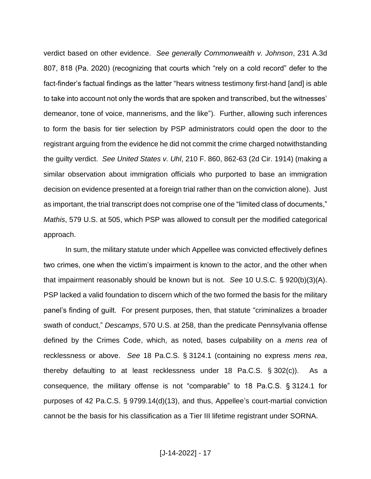verdict based on other evidence. *See generally Commonwealth v. Johnson*, 231 A.3d 807, 818 (Pa. 2020) (recognizing that courts which "rely on a cold record" defer to the fact-finder's factual findings as the latter "hears witness testimony first-hand [and] is able to take into account not only the words that are spoken and transcribed, but the witnesses' demeanor, tone of voice, mannerisms, and the like"). Further, allowing such inferences to form the basis for tier selection by PSP administrators could open the door to the registrant arguing from the evidence he did not commit the crime charged notwithstanding the guilty verdict. *See United States v. Uhl*, 210 F. 860, 862-63 (2d Cir. 1914) (making a similar observation about immigration officials who purported to base an immigration decision on evidence presented at a foreign trial rather than on the conviction alone). Just as important, the trial transcript does not comprise one of the "limited class of documents," *Mathis*, 579 U.S. at 505, which PSP was allowed to consult per the modified categorical approach.

In sum, the military statute under which Appellee was convicted effectively defines two crimes, one when the victim's impairment is known to the actor, and the other when that impairment reasonably should be known but is not. *See* 10 U.S.C. § 920(b)(3)(A). PSP lacked a valid foundation to discern which of the two formed the basis for the military panel's finding of guilt. For present purposes, then, that statute "criminalizes a broader swath of conduct," *Descamps*, 570 U.S. at 258, than the predicate Pennsylvania offense defined by the Crimes Code, which, as noted, bases culpability on a *mens rea* of recklessness or above. *See* 18 Pa.C.S. § 3124.1 (containing no express *mens rea*, thereby defaulting to at least recklessness under 18 Pa.C.S. § 302(c)). As a consequence, the military offense is not "comparable" to 18 Pa.C.S. § 3124.1 for purposes of 42 Pa.C.S. § 9799.14(d)(13), and thus, Appellee's court-martial conviction cannot be the basis for his classification as a Tier III lifetime registrant under SORNA.